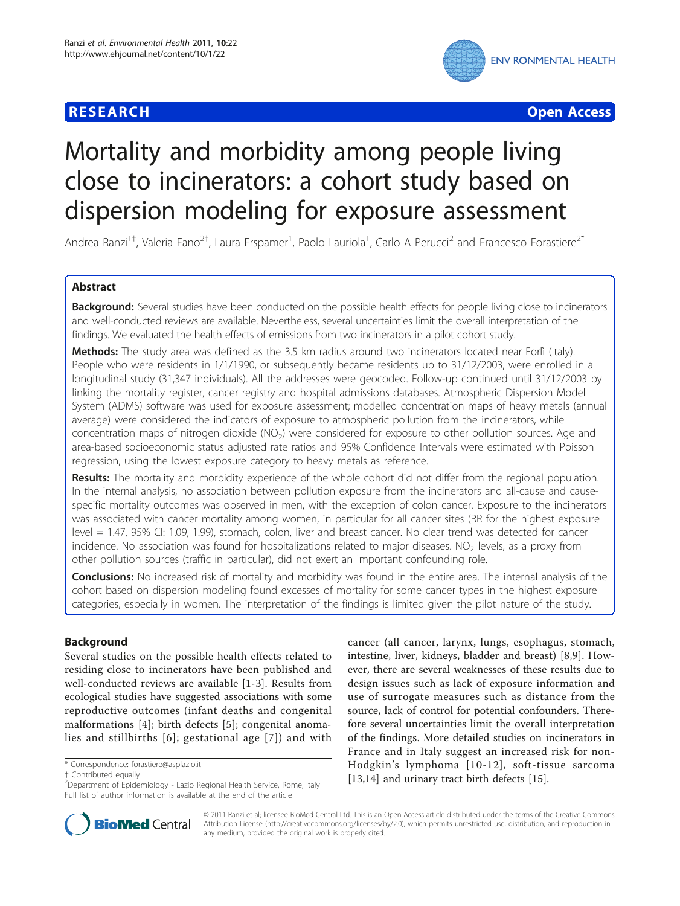## **RESEARCH CONTROL** CONTROL CONTROL CONTROL CONTROL CONTROL CONTROL CONTROL CONTROL CONTROL CONTROL CONTROL CONTROL



# Mortality and morbidity among people living close to incinerators: a cohort study based on dispersion modeling for exposure assessment

Andrea Ranzi<sup>1+</sup>, Valeria Fano<sup>2†</sup>, Laura Erspamer<sup>1</sup>, Paolo Lauriola<sup>1</sup>, Carlo A Perucci<sup>2</sup> and Francesco Forastiere<sup>2\*</sup>

## Abstract

Background: Several studies have been conducted on the possible health effects for people living close to incinerators and well-conducted reviews are available. Nevertheless, several uncertainties limit the overall interpretation of the findings. We evaluated the health effects of emissions from two incinerators in a pilot cohort study.

Methods: The study area was defined as the 3.5 km radius around two incinerators located near Forlì (Italy). People who were residents in 1/1/1990, or subsequently became residents up to 31/12/2003, were enrolled in a longitudinal study (31,347 individuals). All the addresses were geocoded. Follow-up continued until 31/12/2003 by linking the mortality register, cancer registry and hospital admissions databases. Atmospheric Dispersion Model System (ADMS) software was used for exposure assessment; modelled concentration maps of heavy metals (annual average) were considered the indicators of exposure to atmospheric pollution from the incinerators, while concentration maps of nitrogen dioxide  $(NO<sub>2</sub>)$  were considered for exposure to other pollution sources. Age and area-based socioeconomic status adjusted rate ratios and 95% Confidence Intervals were estimated with Poisson regression, using the lowest exposure category to heavy metals as reference.

Results: The mortality and morbidity experience of the whole cohort did not differ from the regional population. In the internal analysis, no association between pollution exposure from the incinerators and all-cause and causespecific mortality outcomes was observed in men, with the exception of colon cancer. Exposure to the incinerators was associated with cancer mortality among women, in particular for all cancer sites (RR for the highest exposure level = 1.47, 95% CI: 1.09, 1.99), stomach, colon, liver and breast cancer. No clear trend was detected for cancer incidence. No association was found for hospitalizations related to major diseases.  $NO<sub>2</sub>$  levels, as a proxy from other pollution sources (traffic in particular), did not exert an important confounding role.

Conclusions: No increased risk of mortality and morbidity was found in the entire area. The internal analysis of the cohort based on dispersion modeling found excesses of mortality for some cancer types in the highest exposure categories, especially in women. The interpretation of the findings is limited given the pilot nature of the study.

## Background

Several studies on the possible health effects related to residing close to incinerators have been published and well-conducted reviews are available [\[1](#page-10-0)-[3\]](#page-10-0). Results from ecological studies have suggested associations with some reproductive outcomes (infant deaths and congenital malformations [\[4](#page-10-0)]; birth defects [[5](#page-10-0)]; congenital anomalies and stillbirths [[6](#page-10-0)]; gestational age [[7](#page-10-0)]) and with

† Contributed equally <sup>2</sup>

cancer (all cancer, larynx, lungs, esophagus, stomach, intestine, liver, kidneys, bladder and breast) [\[8,9](#page-10-0)]. However, there are several weaknesses of these results due to design issues such as lack of exposure information and use of surrogate measures such as distance from the source, lack of control for potential confounders. Therefore several uncertainties limit the overall interpretation of the findings. More detailed studies on incinerators in France and in Italy suggest an increased risk for non-Hodgkin's lymphoma [[10-12\]](#page-10-0), soft-tissue sarcoma [[13,14\]](#page-10-0) and urinary tract birth defects [\[15\]](#page-10-0).



© 2011 Ranzi et al; licensee BioMed Central Ltd. This is an Open Access article distributed under the terms of the Creative Commons Attribution License [\(http://creativecommons.org/licenses/by/2.0](http://creativecommons.org/licenses/by/2.0)), which permits unrestricted use, distribution, and reproduction in any medium, provided the original work is properly cited.

<sup>\*</sup> Correspondence: [forastiere@asplazio.it](mailto:forastiere@asplazio.it)

 $^{2}$ Department of Epidemiology - Lazio Regional Health Service, Rome, Italy Full list of author information is available at the end of the article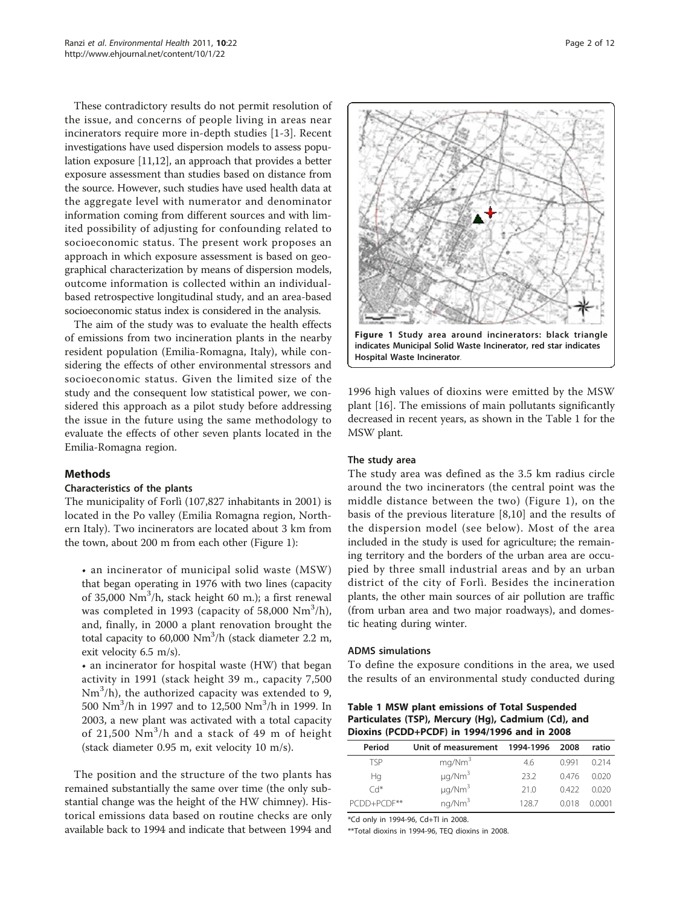These contradictory results do not permit resolution of the issue, and concerns of people living in areas near incinerators require more in-depth studies [\[1](#page-10-0)-[3\]](#page-10-0). Recent investigations have used dispersion models to assess population exposure [[11](#page-10-0),[12](#page-10-0)], an approach that provides a better exposure assessment than studies based on distance from the source. However, such studies have used health data at the aggregate level with numerator and denominator information coming from different sources and with limited possibility of adjusting for confounding related to socioeconomic status. The present work proposes an approach in which exposure assessment is based on geographical characterization by means of dispersion models, outcome information is collected within an individualbased retrospective longitudinal study, and an area-based socioeconomic status index is considered in the analysis.

The aim of the study was to evaluate the health effects of emissions from two incineration plants in the nearby resident population (Emilia-Romagna, Italy), while considering the effects of other environmental stressors and socioeconomic status. Given the limited size of the study and the consequent low statistical power, we considered this approach as a pilot study before addressing the issue in the future using the same methodology to evaluate the effects of other seven plants located in the Emilia-Romagna region.

#### Methods

#### Characteristics of the plants

The municipality of Forlì (107,827 inhabitants in 2001) is located in the Po valley (Emilia Romagna region, Northern Italy). Two incinerators are located about 3 km from the town, about 200 m from each other (Figure 1):

• an incinerator of municipal solid waste (MSW) that began operating in 1976 with two lines (capacity of 35,000 Nm<sup>3</sup>/h, stack height 60 m.); a first renewal was completed in 1993 (capacity of 58,000  $Nm^3/h$ ), and, finally, in 2000 a plant renovation brought the total capacity to  $60,000$  Nm<sup>3</sup>/h (stack diameter 2.2 m, exit velocity 6.5 m/s).

• an incinerator for hospital waste (HW) that began activity in 1991 (stack height 39 m., capacity 7,500 Nm<sup>3</sup>/h), the authorized capacity was extended to 9, 500 Nm3 /h in 1997 and to 12,500 Nm<sup>3</sup> /h in 1999. In 2003, a new plant was activated with a total capacity of 21,500 Nm<sup>3</sup>/h and a stack of 49 m of height (stack diameter 0.95 m, exit velocity 10 m/s).

The position and the structure of the two plants has remained substantially the same over time (the only substantial change was the height of the HW chimney). Historical emissions data based on routine checks are only available back to 1994 and indicate that between 1994 and



1996 high values of dioxins were emitted by the MSW plant [[16](#page-10-0)]. The emissions of main pollutants significantly decreased in recent years, as shown in the Table 1 for the MSW plant.

#### The study area

The study area was defined as the 3.5 km radius circle around the two incinerators (the central point was the middle distance between the two) (Figure 1), on the basis of the previous literature [\[8](#page-10-0),[10\]](#page-10-0) and the results of the dispersion model (see below). Most of the area included in the study is used for agriculture; the remaining territory and the borders of the urban area are occupied by three small industrial areas and by an urban district of the city of Forlì. Besides the incineration plants, the other main sources of air pollution are traffic (from urban area and two major roadways), and domestic heating during winter.

#### ADMS simulations

To define the exposure conditions in the area, we used the results of an environmental study conducted during

Table 1 MSW plant emissions of Total Suspended Particulates (TSP), Mercury (Hg), Cadmium (Cd), and Dioxins (PCDD+PCDF) in 1994/1996 and in 2008

| Period      | Unit of measurement 1994-1996 |       | 2008  | ratio  |
|-------------|-------------------------------|-------|-------|--------|
| TSP         | mg/Nm <sup>3</sup>            | 4.6   | 0.991 | 0.214  |
| Нq          | $\mu$ g/Nm <sup>3</sup>       | 232   | 0.476 | 0.020  |
| $\cup_{*}$  | $\mu$ g/Nm <sup>3</sup>       | 210   | 0422  | 0.020  |
| PCDD+PCDF** | $nq/Nm^3$                     | 128.7 | 0018  | 0.0001 |

\*Cd only in 1994-96, Cd+Tl in 2008.

\*\*Total dioxins in 1994-96, TEQ dioxins in 2008.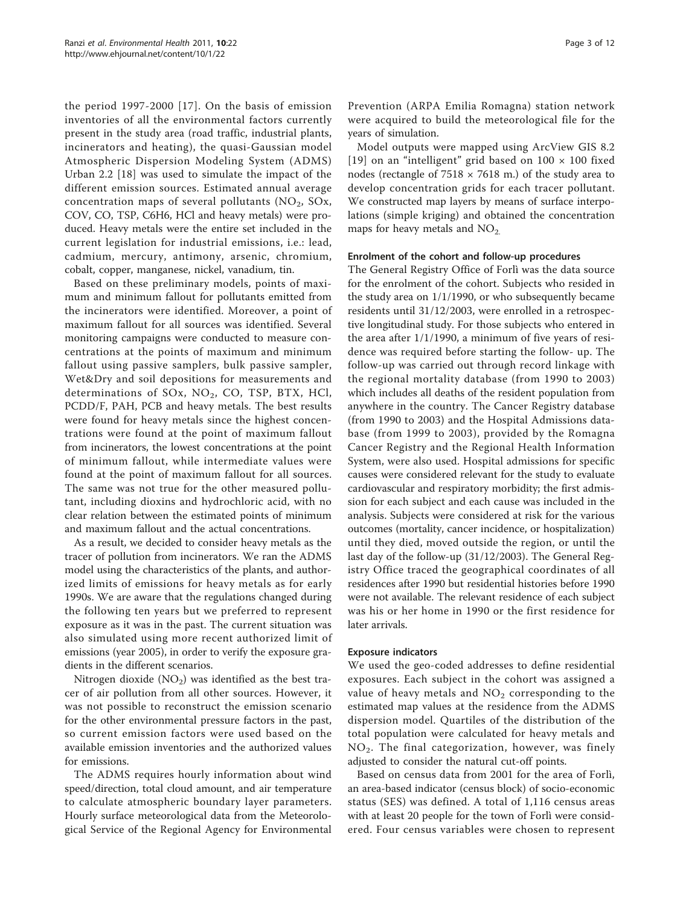the period 1997-2000 [[17](#page-10-0)]. On the basis of emission inventories of all the environmental factors currently present in the study area (road traffic, industrial plants, incinerators and heating), the quasi-Gaussian model Atmospheric Dispersion Modeling System (ADMS) Urban 2.2 [[18](#page-10-0)] was used to simulate the impact of the different emission sources. Estimated annual average concentration maps of several pollutants  $NO<sub>2</sub>$ ,  $SO<sub>X</sub>$ , COV, CO, TSP, C6H6, HCl and heavy metals) were produced. Heavy metals were the entire set included in the current legislation for industrial emissions, i.e.: lead, cadmium, mercury, antimony, arsenic, chromium, cobalt, copper, manganese, nickel, vanadium, tin.

Based on these preliminary models, points of maximum and minimum fallout for pollutants emitted from the incinerators were identified. Moreover, a point of maximum fallout for all sources was identified. Several monitoring campaigns were conducted to measure concentrations at the points of maximum and minimum fallout using passive samplers, bulk passive sampler, Wet&Dry and soil depositions for measurements and determinations of SOx,  $NO<sub>2</sub>$ , CO, TSP, BTX, HCl, PCDD/F, PAH, PCB and heavy metals. The best results were found for heavy metals since the highest concentrations were found at the point of maximum fallout from incinerators, the lowest concentrations at the point of minimum fallout, while intermediate values were found at the point of maximum fallout for all sources. The same was not true for the other measured pollutant, including dioxins and hydrochloric acid, with no clear relation between the estimated points of minimum and maximum fallout and the actual concentrations.

As a result, we decided to consider heavy metals as the tracer of pollution from incinerators. We ran the ADMS model using the characteristics of the plants, and authorized limits of emissions for heavy metals as for early 1990s. We are aware that the regulations changed during the following ten years but we preferred to represent exposure as it was in the past. The current situation was also simulated using more recent authorized limit of emissions (year 2005), in order to verify the exposure gradients in the different scenarios.

Nitrogen dioxide  $(NO<sub>2</sub>)$  was identified as the best tracer of air pollution from all other sources. However, it was not possible to reconstruct the emission scenario for the other environmental pressure factors in the past, so current emission factors were used based on the available emission inventories and the authorized values for emissions.

The ADMS requires hourly information about wind speed/direction, total cloud amount, and air temperature to calculate atmospheric boundary layer parameters. Hourly surface meteorological data from the Meteorological Service of the Regional Agency for Environmental

Prevention (ARPA Emilia Romagna) station network were acquired to build the meteorological file for the years of simulation.

Model outputs were mapped using ArcView GIS 8.2 [[19](#page-10-0)] on an "intelligent" grid based on  $100 \times 100$  fixed nodes (rectangle of  $7518 \times 7618$  m.) of the study area to develop concentration grids for each tracer pollutant. We constructed map layers by means of surface interpolations (simple kriging) and obtained the concentration maps for heavy metals and  $NO<sub>2</sub>$ .

#### Enrolment of the cohort and follow-up procedures

The General Registry Office of Forlì was the data source for the enrolment of the cohort. Subjects who resided in the study area on 1/1/1990, or who subsequently became residents until 31/12/2003, were enrolled in a retrospective longitudinal study. For those subjects who entered in the area after 1/1/1990, a minimum of five years of residence was required before starting the follow- up. The follow-up was carried out through record linkage with the regional mortality database (from 1990 to 2003) which includes all deaths of the resident population from anywhere in the country. The Cancer Registry database (from 1990 to 2003) and the Hospital Admissions database (from 1999 to 2003), provided by the Romagna Cancer Registry and the Regional Health Information System, were also used. Hospital admissions for specific causes were considered relevant for the study to evaluate cardiovascular and respiratory morbidity; the first admission for each subject and each cause was included in the analysis. Subjects were considered at risk for the various outcomes (mortality, cancer incidence, or hospitalization) until they died, moved outside the region, or until the last day of the follow-up (31/12/2003). The General Registry Office traced the geographical coordinates of all residences after 1990 but residential histories before 1990 were not available. The relevant residence of each subject was his or her home in 1990 or the first residence for later arrivals.

#### Exposure indicators

We used the geo-coded addresses to define residential exposures. Each subject in the cohort was assigned a value of heavy metals and  $NO<sub>2</sub>$  corresponding to the estimated map values at the residence from the ADMS dispersion model. Quartiles of the distribution of the total population were calculated for heavy metals and  $NO<sub>2</sub>$ . The final categorization, however, was finely adjusted to consider the natural cut-off points.

Based on census data from 2001 for the area of Forlì, an area-based indicator (census block) of socio-economic status (SES) was defined. A total of 1,116 census areas with at least 20 people for the town of Forlì were considered. Four census variables were chosen to represent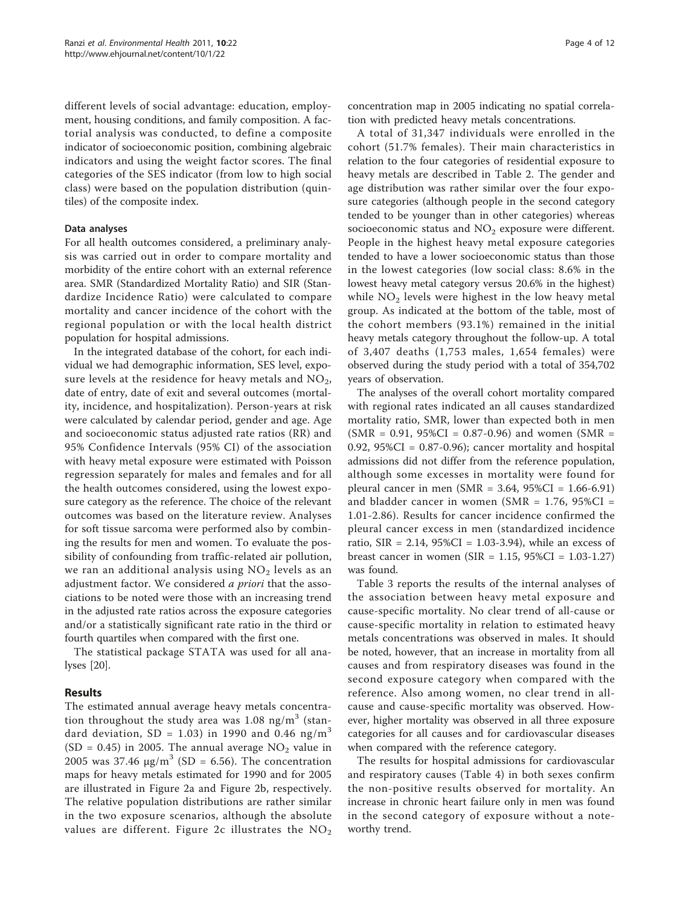different levels of social advantage: education, employment, housing conditions, and family composition. A factorial analysis was conducted, to define a composite indicator of socioeconomic position, combining algebraic indicators and using the weight factor scores. The final categories of the SES indicator (from low to high social class) were based on the population distribution (quintiles) of the composite index.

### Data analyses

For all health outcomes considered, a preliminary analysis was carried out in order to compare mortality and morbidity of the entire cohort with an external reference area. SMR (Standardized Mortality Ratio) and SIR (Standardize Incidence Ratio) were calculated to compare mortality and cancer incidence of the cohort with the regional population or with the local health district population for hospital admissions.

In the integrated database of the cohort, for each individual we had demographic information, SES level, exposure levels at the residence for heavy metals and  $NO<sub>2</sub>$ , date of entry, date of exit and several outcomes (mortality, incidence, and hospitalization). Person-years at risk were calculated by calendar period, gender and age. Age and socioeconomic status adjusted rate ratios (RR) and 95% Confidence Intervals (95% CI) of the association with heavy metal exposure were estimated with Poisson regression separately for males and females and for all the health outcomes considered, using the lowest exposure category as the reference. The choice of the relevant outcomes was based on the literature review. Analyses for soft tissue sarcoma were performed also by combining the results for men and women. To evaluate the possibility of confounding from traffic-related air pollution, we ran an additional analysis using  $NO<sub>2</sub>$  levels as an adjustment factor. We considered *a priori* that the associations to be noted were those with an increasing trend in the adjusted rate ratios across the exposure categories and/or a statistically significant rate ratio in the third or fourth quartiles when compared with the first one.

The statistical package STATA was used for all analyses [[20\]](#page-10-0).

#### Results

The estimated annual average heavy metals concentration throughout the study area was  $1.08 \text{ ng/m}^3$  (standard deviation, SD = 1.03) in 1990 and 0.46 ng/m<sup>3</sup> (SD = 0.45) in 2005. The annual average  $NO<sub>2</sub>$  value in 2005 was 37.46  $\mu$ g/m<sup>3</sup> (SD = 6.56). The concentration maps for heavy metals estimated for 1990 and for 2005 are illustrated in Figure [2a](#page-4-0) and Figure [2b](#page-4-0), respectively. The relative population distributions are rather similar in the two exposure scenarios, although the absolute values are different. Figure [2c](#page-4-0) illustrates the  $NO<sub>2</sub>$  concentration map in 2005 indicating no spatial correlation with predicted heavy metals concentrations.

A total of 31,347 individuals were enrolled in the cohort (51.7% females). Their main characteristics in relation to the four categories of residential exposure to heavy metals are described in Table [2.](#page-4-0) The gender and age distribution was rather similar over the four exposure categories (although people in the second category tended to be younger than in other categories) whereas socioeconomic status and  $NO<sub>2</sub>$  exposure were different. People in the highest heavy metal exposure categories tended to have a lower socioeconomic status than those in the lowest categories (low social class: 8.6% in the lowest heavy metal category versus 20.6% in the highest) while  $NO<sub>2</sub>$  levels were highest in the low heavy metal group. As indicated at the bottom of the table, most of the cohort members (93.1%) remained in the initial heavy metals category throughout the follow-up. A total of 3,407 deaths (1,753 males, 1,654 females) were observed during the study period with a total of 354,702 years of observation.

The analyses of the overall cohort mortality compared with regional rates indicated an all causes standardized mortality ratio, SMR, lower than expected both in men  $(SMR = 0.91, 95\%CI = 0.87-0.96)$  and women  $(SMR = 0.91, 95\% CI = 0.87-0.96)$ 0.92,  $95\%CI = 0.87 - 0.96$ ; cancer mortality and hospital admissions did not differ from the reference population, although some excesses in mortality were found for pleural cancer in men (SMR = 3.64,  $95\%CI = 1.66 - 6.91$ ) and bladder cancer in women (SMR =  $1.76$ ,  $95\%CI =$ 1.01-2.86). Results for cancer incidence confirmed the pleural cancer excess in men (standardized incidence ratio,  $SIR = 2.14$ ,  $95\%CI = 1.03 - 3.94$ ), while an excess of breast cancer in women (SIR = 1.15, 95%CI = 1.03-1.27) was found.

Table [3](#page-5-0) reports the results of the internal analyses of the association between heavy metal exposure and cause-specific mortality. No clear trend of all-cause or cause-specific mortality in relation to estimated heavy metals concentrations was observed in males. It should be noted, however, that an increase in mortality from all causes and from respiratory diseases was found in the second exposure category when compared with the reference. Also among women, no clear trend in allcause and cause-specific mortality was observed. However, higher mortality was observed in all three exposure categories for all causes and for cardiovascular diseases when compared with the reference category.

The results for hospital admissions for cardiovascular and respiratory causes (Table [4\)](#page-6-0) in both sexes confirm the non-positive results observed for mortality. An increase in chronic heart failure only in men was found in the second category of exposure without a noteworthy trend.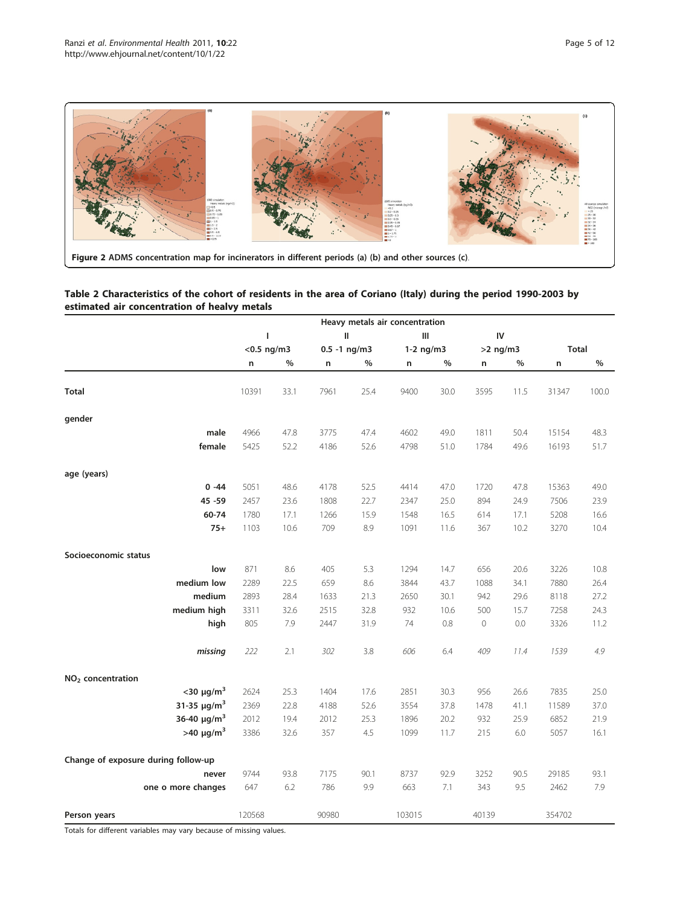<span id="page-4-0"></span>

## Table 2 Characteristics of the cohort of residents in the area of Coriano (Italy) during the period 1990-2003 by estimated air concentration of healvy metals

|                                     | Heavy metals air concentration |      |       |                 |        |                |             |         |              |       |  |
|-------------------------------------|--------------------------------|------|-------|-----------------|--------|----------------|-------------|---------|--------------|-------|--|
|                                     | J.                             |      | Ш     |                 | Ш      |                | IV          |         |              |       |  |
|                                     | $<$ 0.5 ng/m3                  |      |       | $0.5 - 1$ ng/m3 |        | $1-2$ ng/m $3$ | $>2$ ng/m3  |         | <b>Total</b> |       |  |
|                                     | n                              | $\%$ | n     | $\%$            | n      | $\%$           | n           | $\%$    | n            | $\%$  |  |
| <b>Total</b>                        | 10391                          | 33.1 | 7961  | 25.4            | 9400   | 30.0           | 3595        | 11.5    | 31347        | 100.0 |  |
| gender                              |                                |      |       |                 |        |                |             |         |              |       |  |
| male                                | 4966                           | 47.8 | 3775  | 47.4            | 4602   | 49.0           | 1811        | 50.4    | 15154        | 48.3  |  |
| female                              | 5425                           | 52.2 | 4186  | 52.6            | 4798   | 51.0           | 1784        | 49.6    | 16193        | 51.7  |  |
| age (years)                         |                                |      |       |                 |        |                |             |         |              |       |  |
| $0 - 44$                            | 5051                           | 48.6 | 4178  | 52.5            | 4414   | 47.0           | 1720        | 47.8    | 15363        | 49.0  |  |
| 45 - 59                             | 2457                           | 23.6 | 1808  | 22.7            | 2347   | 25.0           | 894         | 24.9    | 7506         | 23.9  |  |
| 60-74                               | 1780                           | 17.1 | 1266  | 15.9            | 1548   | 16.5           | 614         | 17.1    | 5208         | 16.6  |  |
| $75+$                               | 1103                           | 10.6 | 709   | 8.9             | 1091   | 11.6           | 367         | 10.2    | 3270         | 10.4  |  |
| Socioeconomic status                |                                |      |       |                 |        |                |             |         |              |       |  |
| low                                 | 871                            | 8.6  | 405   | 5.3             | 1294   | 14.7           | 656         | 20.6    | 3226         | 10.8  |  |
| medium low                          | 2289                           | 22.5 | 659   | 8.6             | 3844   | 43.7           | 1088        | 34.1    | 7880         | 26.4  |  |
| medium                              | 2893                           | 28.4 | 1633  | 21.3            | 2650   | 30.1           | 942         | 29.6    | 8118         | 27.2  |  |
| medium high                         | 3311                           | 32.6 | 2515  | 32.8            | 932    | 10.6           | 500         | 15.7    | 7258         | 24.3  |  |
| high                                | 805                            | 7.9  | 2447  | 31.9            | 74     | $0.8\,$        | $\mathbf 0$ | $0.0\,$ | 3326         | 11.2  |  |
| missing                             | 222                            | 2.1  | 302   | 3.8             | 606    | 6.4            | 409         | 11.4    | 1539         | 4.9   |  |
| NO <sub>2</sub> concentration       |                                |      |       |                 |        |                |             |         |              |       |  |
| $<$ 30 µg/m <sup>3</sup>            | 2624                           | 25.3 | 1404  | 17.6            | 2851   | 30.3           | 956         | 26.6    | 7835         | 25.0  |  |
| 31-35 $\mu$ g/m <sup>3</sup>        | 2369                           | 22.8 | 4188  | 52.6            | 3554   | 37.8           | 1478        | 41.1    | 11589        | 37.0  |  |
| 36-40 $\mu$ g/m <sup>3</sup>        | 2012                           | 19.4 | 2012  | 25.3            | 1896   | 20.2           | 932         | 25.9    | 6852         | 21.9  |  |
| $>40 \mu g/m^3$                     | 3386                           | 32.6 | 357   | 4.5             | 1099   | 11.7           | 215         | 6.0     | 5057         | 16.1  |  |
| Change of exposure during follow-up |                                |      |       |                 |        |                |             |         |              |       |  |
| never                               | 9744                           | 93.8 | 7175  | 90.1            | 8737   | 92.9           | 3252        | 90.5    | 29185        | 93.1  |  |
| one o more changes                  | 647                            | 6.2  | 786   | 9.9             | 663    | 7.1            | 343         | 9.5     | 2462         | 7.9   |  |
| Person years                        | 120568                         |      | 90980 |                 | 103015 |                | 40139       |         | 354702       |       |  |

Totals for different variables may vary because of missing values.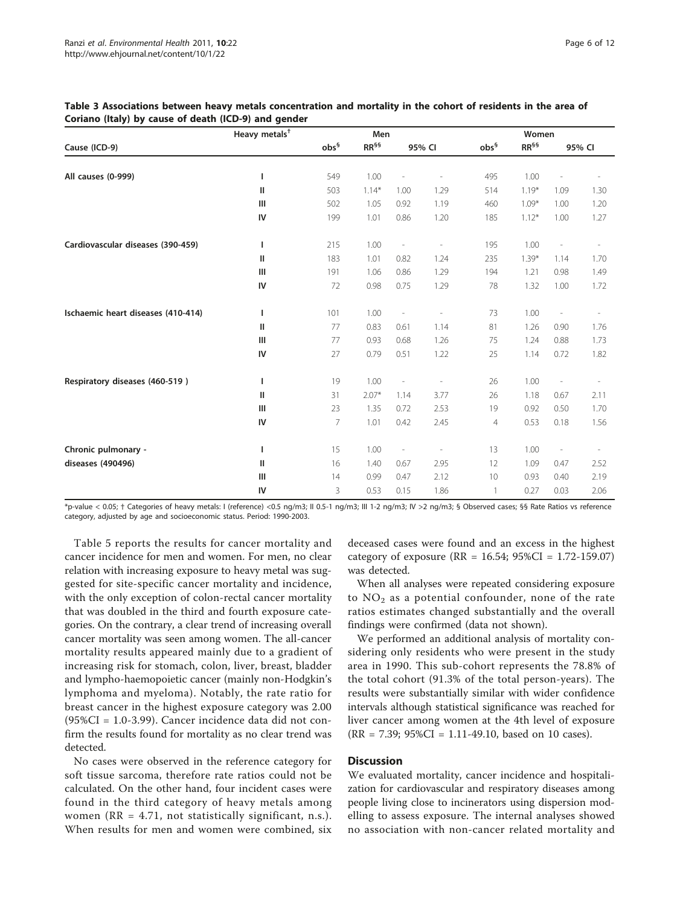|                                    | Heavy metals $\overline{f}$ |                            | Men       |                          |                          | Women          |           |                          |        |  |  |  |
|------------------------------------|-----------------------------|----------------------------|-----------|--------------------------|--------------------------|----------------|-----------|--------------------------|--------|--|--|--|
| Cause (ICD-9)                      |                             | $\mathsf{obs}^\mathsf{\$}$ | $RR^{ss}$ |                          | 95% CI                   | $obs^6$        | $RR^{ss}$ |                          | 95% CI |  |  |  |
|                                    |                             |                            |           |                          |                          |                |           |                          |        |  |  |  |
| All causes (0-999)                 | T                           | 549                        | 1.00      |                          |                          | 495            | 1.00      |                          |        |  |  |  |
|                                    | $\mathbf{I}$                | 503                        | $1.14*$   | 1.00                     | 1.29                     | 514            | $1.19*$   | 1.09                     | 1.30   |  |  |  |
|                                    | III                         | 502                        | 1.05      | 0.92                     | 1.19                     | 460            | $1.09*$   | 1.00                     | 1.20   |  |  |  |
|                                    | IV                          | 199                        | 1.01      | 0.86                     | 1.20                     | 185            | $1.12*$   | 1.00                     | 1.27   |  |  |  |
| Cardiovascular diseases (390-459)  | L                           | 215                        | 1.00      |                          | L,                       | 195            | 1.00      | $\overline{\phantom{a}}$ |        |  |  |  |
|                                    | Ш                           | 183                        | 1.01      | 0.82                     | 1.24                     | 235            | $1.39*$   | 1.14                     | 1.70   |  |  |  |
|                                    | Ш                           | 191                        | 1.06      | 0.86                     | 1.29                     | 194            | 1.21      | 0.98                     | 1.49   |  |  |  |
|                                    | IV                          | 72                         | 0.98      | 0.75                     | 1.29                     | 78             | 1.32      | 1.00                     | 1.72   |  |  |  |
| Ischaemic heart diseases (410-414) | T                           | 101                        | 1.00      | $\bar{ }$                | $\overline{\phantom{0}}$ | 73             | 1.00      | $\overline{\phantom{a}}$ |        |  |  |  |
|                                    | Ш                           | 77                         | 0.83      | 0.61                     | 1.14                     | 81             | 1.26      | 0.90                     | 1.76   |  |  |  |
|                                    | III                         | 77                         | 0.93      | 0.68                     | 1.26                     | 75             | 1.24      | 0.88                     | 1.73   |  |  |  |
|                                    | IV                          | 27                         | 0.79      | 0.51                     | 1.22                     | 25             | 1.14      | 0.72                     | 1.82   |  |  |  |
| Respiratory diseases (460-519)     | L                           | 19                         | 1.00      | i,                       | L,                       | 26             | 1.00      | $\bar{ }$                |        |  |  |  |
|                                    | Ш                           | 31                         | $2.07*$   | 1.14                     | 3.77                     | 26             | 1.18      | 0.67                     | 2.11   |  |  |  |
|                                    | III                         | 23                         | 1.35      | 0.72                     | 2.53                     | 19             | 0.92      | 0.50                     | 1.70   |  |  |  |
|                                    | IV                          | $\overline{7}$             | 1.01      | 0.42                     | 2.45                     | $\overline{4}$ | 0.53      | 0.18                     | 1.56   |  |  |  |
| Chronic pulmonary -                | L                           | 15                         | 1.00      | $\overline{\phantom{a}}$ | $\overline{\phantom{a}}$ | 13             | 1.00      | $\overline{\phantom{a}}$ |        |  |  |  |
| diseases (490496)                  | Ш                           | 16                         | 1.40      | 0.67                     | 2.95                     | 12             | 1.09      | 0.47                     | 2.52   |  |  |  |
|                                    | Ш                           | 14                         | 0.99      | 0.47                     | 2.12                     | 10             | 0.93      | 0.40                     | 2.19   |  |  |  |
|                                    | IV                          | 3                          | 0.53      | 0.15                     | 1.86                     | $\mathbf{1}$   | 0.27      | 0.03                     | 2.06   |  |  |  |

<span id="page-5-0"></span>Table 3 Associations between heavy metals concentration and mortality in the cohort of residents in the area of Coriano (Italy) by cause of death (ICD-9) and gender

\*p-value < 0.05; † Categories of heavy metals: I (reference) <0.5 ng/m3; II 0.5-1 ng/m3; III 1-2 ng/m3; IV >2 ng/m3; § Observed cases; §§ Rate Ratios vs reference category, adjusted by age and socioeconomic status. Period: 1990-2003.

Table [5](#page-7-0) reports the results for cancer mortality and cancer incidence for men and women. For men, no clear relation with increasing exposure to heavy metal was suggested for site-specific cancer mortality and incidence, with the only exception of colon-rectal cancer mortality that was doubled in the third and fourth exposure categories. On the contrary, a clear trend of increasing overall cancer mortality was seen among women. The all-cancer mortality results appeared mainly due to a gradient of increasing risk for stomach, colon, liver, breast, bladder and lympho-haemopoietic cancer (mainly non-Hodgkin's lymphoma and myeloma). Notably, the rate ratio for breast cancer in the highest exposure category was 2.00 (95%CI = 1.0-3.99). Cancer incidence data did not confirm the results found for mortality as no clear trend was detected.

No cases were observed in the reference category for soft tissue sarcoma, therefore rate ratios could not be calculated. On the other hand, four incident cases were found in the third category of heavy metals among women (RR = 4.71, not statistically significant, n.s.). When results for men and women were combined, six

deceased cases were found and an excess in the highest category of exposure ( $RR = 16.54$ ;  $95\%CI = 1.72 - 159.07$ ) was detected.

When all analyses were repeated considering exposure to  $NO<sub>2</sub>$  as a potential confounder, none of the rate ratios estimates changed substantially and the overall findings were confirmed (data not shown).

We performed an additional analysis of mortality considering only residents who were present in the study area in 1990. This sub-cohort represents the 78.8% of the total cohort (91.3% of the total person-years). The results were substantially similar with wider confidence intervals although statistical significance was reached for liver cancer among women at the 4th level of exposure  $(RR = 7.39; 95\%CI = 1.11-49.10, based on 10 cases).$ 

## **Discussion**

We evaluated mortality, cancer incidence and hospitalization for cardiovascular and respiratory diseases among people living close to incinerators using dispersion modelling to assess exposure. The internal analyses showed no association with non-cancer related mortality and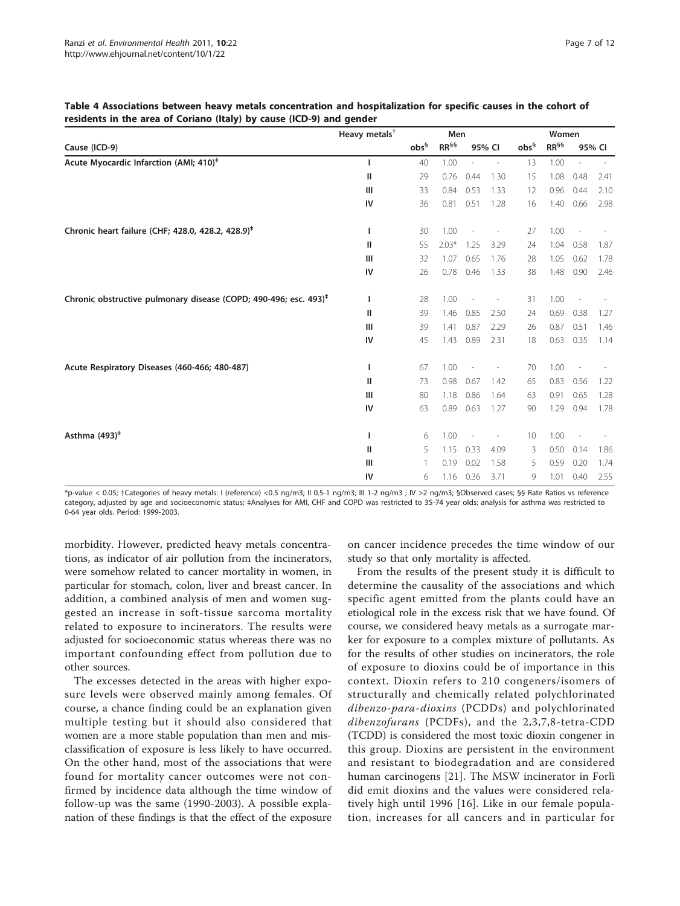|                                                                              | Heavy metals <sup>+</sup> |                  | Men       |        |                          | Women                      |           |      |        |  |
|------------------------------------------------------------------------------|---------------------------|------------------|-----------|--------|--------------------------|----------------------------|-----------|------|--------|--|
| Cause (ICD-9)                                                                |                           | obs <sup>6</sup> | $RR^{ss}$ | 95% CI |                          | $\mathsf{obs}^\mathsf{\$}$ | $RR^{ss}$ |      | 95% CI |  |
| Acute Myocardic Infarction (AMI; 410) <sup>#</sup>                           | ı                         | 40               | 1.00      |        | $\overline{\phantom{a}}$ | 13                         | 1.00      | ٠    |        |  |
|                                                                              | Ш                         | 29               | 0.76      | 0.44   | 1.30                     | 15                         | 1.08      | 0.48 | 2.41   |  |
|                                                                              | III                       | 33               | 0.84      | 0.53   | 1.33                     | 12                         | 0.96      | 0.44 | 2.10   |  |
|                                                                              | IV                        | 36               | 0.81      | 0.51   | 1.28                     | 16                         | 1.40      | 0.66 | 2.98   |  |
| Chronic heart failure (CHF; 428.0, 428.2, 428.9) <sup>‡</sup>                | T                         | 30               | 1.00      |        |                          | 27                         | 1.00      |      |        |  |
|                                                                              | Ш                         | 55               | $2.03*$   | 1.25   | 3.29                     | 24                         | 1.04      | 0.58 | 1.87   |  |
|                                                                              | Ш                         | 32               | 1.07      | 0.65   | 1.76                     | 28                         | 1.05      | 0.62 | 1.78   |  |
|                                                                              | IV                        | 26               | 0.78      | 0.46   | 1.33                     | 38                         | 1.48      | 0.90 | 2.46   |  |
| Chronic obstructive pulmonary disease (COPD; 490-496; esc. 493) <sup>+</sup> | T                         | 28               | 1.00      |        |                          | 31                         | 1.00      |      |        |  |
|                                                                              | Ш                         | 39               | 1.46      | 0.85   | 2.50                     | 24                         | 0.69      | 0.38 | 1.27   |  |
|                                                                              | III                       | 39               | 1.41      | 0.87   | 2.29                     | 26                         | 0.87      | 0.51 | 1.46   |  |
|                                                                              | IV                        | 45               | 1.43      | 0.89   | 2.31                     | 18                         | 0.63      | 0.35 | 1.14   |  |
| Acute Respiratory Diseases (460-466; 480-487)                                | L                         | 67               | 1.00      |        |                          | 70                         | 1.00      |      |        |  |
|                                                                              | Ш                         | 73               | 0.98      | 0.67   | 1.42                     | 65                         | 0.83      | 0.56 | 1.22   |  |
|                                                                              | III                       | 80               | 1.18      | 0.86   | 1.64                     | 63                         | 0.91      | 0.65 | 1.28   |  |
|                                                                              | IV                        | 63               | 0.89      | 0.63   | 1.27                     | 90                         | 1.29      | 0.94 | 1.78   |  |
| Asthma $(493)^*$                                                             | ı                         | 6                | 1.00      |        |                          | 10                         | 1.00      |      |        |  |
|                                                                              | Ш                         | 5                | 1.15      | 0.33   | 4.09                     | 3                          | 0.50      | 0.14 | 1.86   |  |
|                                                                              | Ш                         | 1                | 0.19      | 0.02   | 1.58                     | 5                          | 0.59      | 0.20 | 1.74   |  |
|                                                                              | IV                        | 6                | 1.16      | 0.36   | 3.71                     | 9                          | 1.01      | 0.40 | 2.55   |  |

<span id="page-6-0"></span>Table 4 Associations between heavy metals concentration and hospitalization for specific causes in the cohort of residents in the area of Coriano (Italy) by cause (ICD-9) and gender

\*p-value < 0.05; †Categories of heavy metals: I (reference) <0.5 ng/m3; II 0.5-1 ng/m3; III 1-2 ng/m3 ; IV >2 ng/m3; §Observed cases; §§ Rate Ratios vs reference category, adjusted by age and socioeconomic status; ‡Analyses for AMI, CHF and COPD was restricted to 35-74 year olds; analysis for asthma was restricted to 0-64 year olds. Period: 1999-2003.

morbidity. However, predicted heavy metals concentrations, as indicator of air pollution from the incinerators, were somehow related to cancer mortality in women, in particular for stomach, colon, liver and breast cancer. In addition, a combined analysis of men and women suggested an increase in soft-tissue sarcoma mortality related to exposure to incinerators. The results were adjusted for socioeconomic status whereas there was no important confounding effect from pollution due to other sources.

The excesses detected in the areas with higher exposure levels were observed mainly among females. Of course, a chance finding could be an explanation given multiple testing but it should also considered that women are a more stable population than men and misclassification of exposure is less likely to have occurred. On the other hand, most of the associations that were found for mortality cancer outcomes were not confirmed by incidence data although the time window of follow-up was the same (1990-2003). A possible explanation of these findings is that the effect of the exposure

on cancer incidence precedes the time window of our study so that only mortality is affected.

From the results of the present study it is difficult to determine the causality of the associations and which specific agent emitted from the plants could have an etiological role in the excess risk that we have found. Of course, we considered heavy metals as a surrogate marker for exposure to a complex mixture of pollutants. As for the results of other studies on incinerators, the role of exposure to dioxins could be of importance in this context. Dioxin refers to 210 congeners/isomers of structurally and chemically related polychlorinated dibenzo-para-dioxins (PCDDs) and polychlorinated dibenzofurans (PCDFs), and the 2,3,7,8-tetra-CDD (TCDD) is considered the most toxic dioxin congener in this group. Dioxins are persistent in the environment and resistant to biodegradation and are considered human carcinogens [[21\]](#page-10-0). The MSW incinerator in Forlì did emit dioxins and the values were considered relatively high until 1996 [[16\]](#page-10-0). Like in our female population, increases for all cancers and in particular for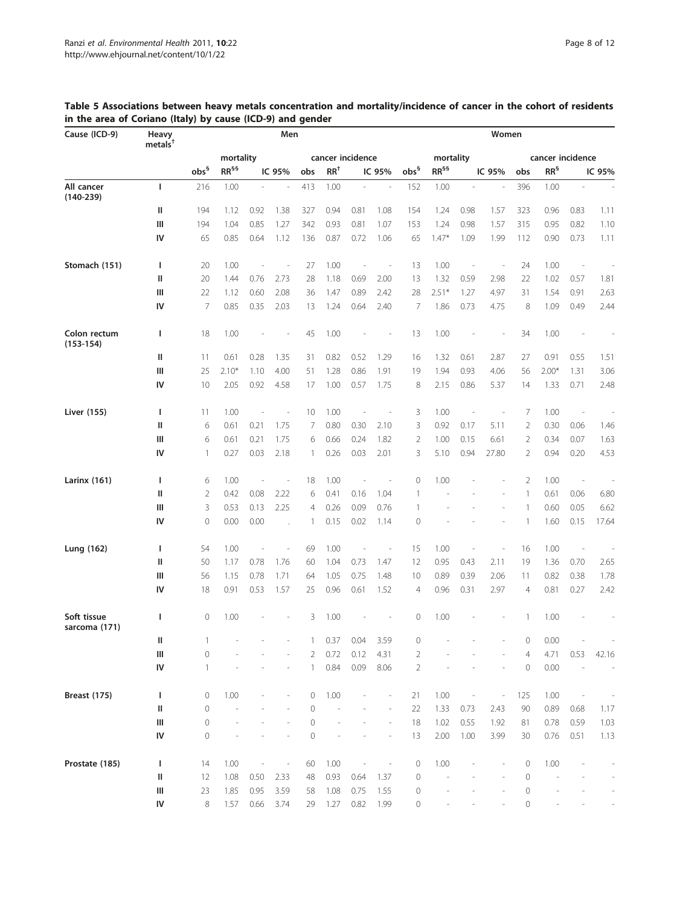| Cause (ICD-9)                 | Heavy<br>$\mathsf{metals}^\dagger$ | Men                         |                  |                          |                          |              |                                         |                          |                |                  | Women            |                          |                          |                          |         |                          |                          |  |  |
|-------------------------------|------------------------------------|-----------------------------|------------------|--------------------------|--------------------------|--------------|-----------------------------------------|--------------------------|----------------|------------------|------------------|--------------------------|--------------------------|--------------------------|---------|--------------------------|--------------------------|--|--|
|                               |                                    |                             | mortality        |                          |                          |              |                                         | cancer incidence         |                |                  | mortality        |                          |                          |                          |         | cancer incidence         |                          |  |  |
|                               |                                    | $\mathbf{obs}^{\mathsf{S}}$ | RR <sup>§§</sup> |                          | IC 95%                   | obs          | $\ensuremath{\mathsf{RR}^{\mathsf{t}}}$ |                          | IC 95%         | obs <sup>§</sup> | RR <sup>§§</sup> |                          | IC 95%                   | obs                      | $RR^S$  |                          | IC 95%                   |  |  |
| All cancer<br>$(140-239)$     | $\mathbf{I}$                       | 216                         | 1.00             |                          | J,                       | 413          | 1.00                                    |                          |                | 152              | 1.00             |                          | J,                       | 396                      | 1.00    |                          |                          |  |  |
|                               | Ш                                  | 194                         | 1.12             | 0.92                     | 1.38                     | 327          | 0.94                                    | 0.81                     | 1.08           | 154              | 1.24             | 0.98                     | 1.57                     | 323                      | 0.96    | 0.83                     | 1.11                     |  |  |
|                               | Ш                                  | 194                         | 1.04             | 0.85                     | 1.27                     | 342          | 0.93                                    | 0.81                     | 1.07           | 153              | 1.24             | 0.98                     | 1.57                     | 315                      | 0.95    | 0.82                     | 1.10                     |  |  |
|                               | IV                                 | 65                          | 0.85             | 0.64                     | 1.12                     | 136          | 0.87                                    | 0.72                     | 1.06           | 65               | $1.47*$          | 1.09                     | 1.99                     | 112                      | 0.90    | 0.73                     | 1.11                     |  |  |
| Stomach (151)                 | $\mathbf{I}$                       | 20                          | 1.00             | ÷,                       | ×,                       | 27           | 1.00                                    | ÷,                       |                | 13               | 1.00             | $\overline{\phantom{a}}$ | ÷,                       | 24                       | 1.00    | $\overline{\phantom{a}}$ | $\overline{\phantom{a}}$ |  |  |
|                               | II                                 | 20                          | 1.44             | 0.76                     | 2.73                     | 28           | 1.18                                    | 0.69                     | 2.00           | 13               | 1.32             | 0.59                     | 2.98                     | 22                       | 1.02    | 0.57                     | 1.81                     |  |  |
|                               | Ш                                  | 22                          | 1.12             | 0.60                     | 2.08                     | 36           | 1.47                                    | 0.89                     | 2.42           | 28               | $2.51*$          | 1.27                     | 4.97                     | 31                       | 1.54    | 0.91                     | 2.63                     |  |  |
|                               | IV                                 | $\overline{7}$              | 0.85             | 0.35                     | 2.03                     | 13           | 1.24                                    | 0.64                     | 2.40           | 7                | 1.86             | 0.73                     | 4.75                     | 8                        | 1.09    | 0.49                     | 2.44                     |  |  |
| Colon rectum<br>$(153 - 154)$ | ı                                  | 18                          | 1.00             | J,                       | ÷,                       | 45           | 1.00                                    |                          |                | 13               | 1.00             |                          |                          | 34                       | 1.00    |                          | $\overline{\phantom{a}}$ |  |  |
|                               | Ш                                  | 11                          | 0.61             | 0.28                     | 1.35                     | 31           | 0.82                                    | 0.52                     | 1.29           | 16               | 1.32             | 0.61                     | 2.87                     | 27                       | 0.91    | 0.55                     | 1.51                     |  |  |
|                               | Ш                                  | 25                          | $2.10*$          | 1.10                     | 4.00                     | 51           | 1.28                                    | 0.86                     | 1.91           | 19               | 1.94             | 0.93                     | 4.06                     | 56                       | $2.00*$ | 1.31                     | 3.06                     |  |  |
|                               | IV                                 | 10                          | 2.05             | 0.92                     | 4.58                     | 17           | 1.00                                    | 0.57                     | 1.75           | 8                | 2.15             | 0.86                     | 5.37                     | 14                       | 1.33    | 0.71                     | 2.48                     |  |  |
| Liver (155)                   | T                                  | 11                          | 1.00             | $\overline{\phantom{a}}$ | $\sim$                   | 10           | 1.00                                    | $\overline{\phantom{a}}$ |                | 3                | 1.00             |                          |                          | 7                        | 1.00    | ÷,                       |                          |  |  |
|                               | Ш                                  | 6                           | 0.61             | 0.21                     | 1.75                     | 7            | 0.80                                    | 0.30                     | 2.10           | 3                | 0.92             | 0.17                     | 5.11                     | 2                        | 0.30    | 0.06                     | 1.46                     |  |  |
|                               | Ш                                  | 6                           | 0.61             | 0.21                     | 1.75                     | 6            | 0.66                                    | 0.24                     | 1.82           | 2                | 1.00             | 0.15                     | 6.61                     | 2                        | 0.34    | 0.07                     | 1.63                     |  |  |
|                               | IV                                 | 1                           | 0.27             | 0.03                     | 2.18                     | -1           | 0.26                                    | 0.03                     | 2.01           | 3                | 5.10             | 0.94                     | 27.80                    | 2                        | 0.94    | 0.20                     | 4.53                     |  |  |
| <b>Larinx (161)</b>           | L                                  | 6                           | 1.00             | J,                       | $\overline{\phantom{a}}$ | 18           | 1.00                                    | $\overline{\phantom{a}}$ | $\overline{a}$ | 0                | 1.00             |                          |                          | 2                        | 1.00    | ÷,                       |                          |  |  |
|                               | Ш                                  | 2                           | 0.42             | 0.08                     | 2.22                     | 6            | 0.41                                    | 0.16                     | 1.04           |                  |                  |                          |                          | $\overline{\phantom{a}}$ | 0.61    | 0.06                     | 6.80                     |  |  |
|                               | Ш                                  | 3                           | 0.53             | 0.13                     | 2.25                     | 4            | 0.26                                    | 0.09                     | 0.76           | 1                |                  |                          |                          | $\overline{\phantom{a}}$ | 0.60    | 0.05                     | 6.62                     |  |  |
|                               | IV                                 | $\circ$                     | 0.00             | 0.00                     |                          | 1            | 0.15                                    | 0.02                     | 1.14           | 0                |                  |                          |                          | $\overline{\phantom{a}}$ | 1.60    | 0.15                     | 17.64                    |  |  |
| Lung (162)                    | т                                  | 54                          | 1.00             | $\overline{\phantom{a}}$ | $\overline{\phantom{a}}$ | 69           | 1.00                                    | $\overline{\phantom{a}}$ | J,             | 15               | 1.00             | $\overline{a}$           | $\overline{\phantom{a}}$ | 16                       | 1.00    | J,                       |                          |  |  |
|                               | Ш                                  | 50                          | 1.17             | 0.78                     | 1.76                     | 60           | 1.04                                    | 0.73                     | 1.47           | 12               | 0.95             | 0.43                     | 2.11                     | 19                       | 1.36    | 0.70                     | 2.65                     |  |  |
|                               | Ш                                  | 56                          | 1.15             | 0.78                     | 1.71                     | 64           | 1.05                                    | 0.75                     | 1.48           | 10               | 0.89             | 0.39                     | 2.06                     | 11                       | 0.82    | 0.38                     | 1.78                     |  |  |
|                               | IV                                 | 18                          | 0.91             | 0.53                     | 1.57                     | 25           | 0.96                                    | 0.61                     | 1.52           | $\overline{4}$   | 0.96             | 0.31                     | 2.97                     | $\overline{4}$           | 0.81    | 0.27                     | 2.42                     |  |  |
| Soft tissue<br>sarcoma (171)  | L                                  | $\Omega$                    | 1.00             |                          |                          | 3            | 1.00                                    |                          |                | 0                | 1.00             |                          |                          | 1                        | 1.00    |                          |                          |  |  |
|                               | Ш                                  | -1                          |                  |                          |                          | 1.           | 0.37                                    | 0.04                     | 3.59           | 0                |                  |                          |                          | 0                        | 0.00    |                          |                          |  |  |
|                               | Ш                                  | 0                           |                  |                          |                          | 2            | 0.72                                    | 0.12                     | 4.31           | 2                |                  |                          |                          | $\overline{4}$           | 4.71    | 0.53                     | 42.16                    |  |  |
|                               | IV                                 | 1                           |                  |                          |                          | $\mathbf{1}$ | 0.84                                    | 0.09                     | 8.06           | 2                |                  |                          |                          | $\circ$                  | 0.00    |                          |                          |  |  |
| <b>Breast (175)</b>           | L                                  | 0                           | 1.00             |                          |                          | 0            | 1.00                                    |                          |                | 21               | 1.00             | $\overline{\phantom{a}}$ | $\overline{\phantom{a}}$ | 125                      | 1.00    | $\overline{\phantom{a}}$ | $\overline{\phantom{m}}$ |  |  |
|                               | Ш                                  | $\circledcirc$              |                  |                          |                          | $\circ$      |                                         |                          |                | 22               | 1.33             | 0.73                     | 2.43                     | 90                       | 0.89    | 0.68                     | 1.17                     |  |  |
|                               | Ш                                  | 0                           |                  |                          |                          | 0            |                                         |                          |                | 18               | 1.02             | 0.55                     | 1.92                     | 81                       | 0.78    | 0.59                     | 1.03                     |  |  |
|                               | IV                                 | 0                           |                  |                          |                          | 0            |                                         |                          |                | 13               | 2.00             | 1.00                     | 3.99                     | 30                       | 0.76    | 0.51                     | 1.13                     |  |  |
| Prostate (185)                | L                                  | 14                          | 1.00             | $\overline{\phantom{a}}$ | $\overline{\phantom{a}}$ | 60           | 1.00                                    |                          |                | 0                | 1.00             |                          |                          | 0                        | 1.00    |                          |                          |  |  |
|                               | Ш                                  | 12                          | 1.08             | 0.50                     | 2.33                     | 48           | 0.93                                    | 0.64                     | 1.37           | 0                |                  |                          |                          | $\circ$                  |         |                          |                          |  |  |
|                               | Ш                                  | 23                          | 1.85             | 0.95                     | 3.59                     | 58           | 1.08                                    | 0.75                     | 1.55           | 0                |                  |                          |                          | $\circ$                  |         |                          |                          |  |  |
|                               | IV                                 | 8                           | 1.57             | 0.66                     | 3.74                     | 29           | 1.27                                    | 0.82                     | 1.99           | 0                |                  |                          |                          | 0                        |         |                          |                          |  |  |
|                               |                                    |                             |                  |                          |                          |              |                                         |                          |                |                  |                  |                          |                          |                          |         |                          |                          |  |  |

## <span id="page-7-0"></span>Table 5 Associations between heavy metals concentration and mortality/incidence of cancer in the cohort of residents in the area of Coriano (Italy) by cause (ICD-9) and gender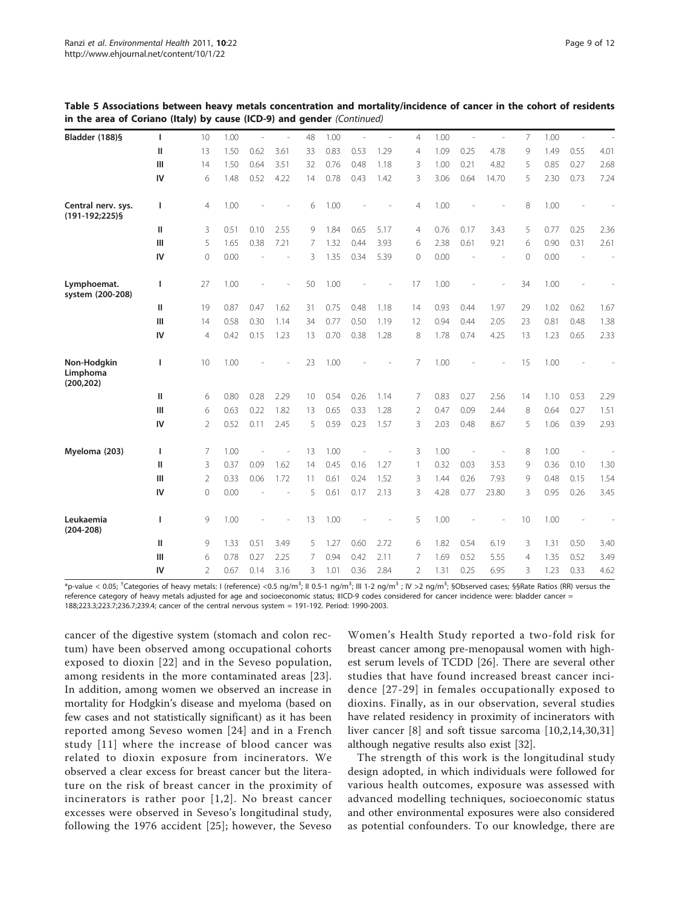| Bladder (188)§                        | L   | 10             | 1.00 |      |      | 48 | 1.00 |      |      | 4  | 1.00 |      |       | 7            | 1.00 |      |      |
|---------------------------------------|-----|----------------|------|------|------|----|------|------|------|----|------|------|-------|--------------|------|------|------|
|                                       | Ш   | 13             | 1.50 | 0.62 | 3.61 | 33 | 0.83 | 0.53 | 1.29 | 4  | 1.09 | 0.25 | 4.78  | 9            | 1.49 | 0.55 | 4.01 |
|                                       | III | 14             | 1.50 | 0.64 | 3.51 | 32 | 0.76 | 0.48 | 1.18 | 3  | 1.00 | 0.21 | 4.82  | 5            | 0.85 | 0.27 | 2.68 |
|                                       | IV  | 6              | 1.48 | 0.52 | 4.22 | 14 | 0.78 | 0.43 | 1.42 | 3  | 3.06 | 0.64 | 14.70 | 5            | 2.30 | 0.73 | 7.24 |
| Central nerv. sys.<br>(191-192;225)§  | L   | 4              | 1.00 |      |      | 6  | 1.00 |      |      | 4  | 1.00 |      |       | 8            | 1.00 |      |      |
|                                       | Ш   | 3              | 0.51 | 0.10 | 2.55 | 9  | 1.84 | 0.65 | 5.17 | 4  | 0.76 | 0.17 | 3.43  | 5            | 0.77 | 0.25 | 2.36 |
|                                       | III | 5              | 1.65 | 0.38 | 7.21 | 7  | 1.32 | 0.44 | 3.93 | 6  | 2.38 | 0.61 | 9.21  | 6            | 0.90 | 0.31 | 2.61 |
|                                       | IV  | $\overline{0}$ | 0.00 |      |      | 3  | 1.35 | 0.34 | 5.39 | 0  | 0.00 |      |       | $\mathbf{0}$ | 0.00 |      |      |
| Lymphoemat.<br>system (200-208)       | п   | 27             | 1.00 |      |      | 50 | 1.00 |      |      | 17 | 1.00 |      |       | 34           | 1.00 |      |      |
|                                       | Ш   | 19             | 0.87 | 0.47 | 1.62 | 31 | 0.75 | 0.48 | 1.18 | 14 | 0.93 | 0.44 | 1.97  | 29           | 1.02 | 0.62 | 1.67 |
|                                       | Ш   | 14             | 0.58 | 0.30 | 1.14 | 34 | 0.77 | 0.50 | 1.19 | 12 | 0.94 | 0.44 | 2.05  | 23           | 0.81 | 0.48 | 1.38 |
|                                       | IV  | $\overline{4}$ | 0.42 | 0.15 | 1.23 | 13 | 0.70 | 0.38 | 1.28 | 8  | 1.78 | 0.74 | 4.25  | 13           | 1.23 | 0.65 | 2.33 |
| Non-Hodgkin<br>Limphoma<br>(200, 202) | ш   | 10             | 1.00 |      |      | 23 | 1.00 |      |      | 7  | 1.00 |      |       | 15           | 1.00 |      |      |
|                                       | Ш   | 6              | 0.80 | 0.28 | 2.29 | 10 | 0.54 | 0.26 | 1.14 | 7  | 0.83 | 0.27 | 2.56  | 14           | 1.10 | 0.53 | 2.29 |
|                                       | III | 6              | 0.63 | 0.22 | 1.82 | 13 | 0.65 | 0.33 | 1.28 | 2  | 0.47 | 0.09 | 2.44  | 8            | 0.64 | 0.27 | 1.51 |
|                                       | IV  | $\overline{2}$ | 0.52 | 0.11 | 2.45 | 5  | 0.59 | 0.23 | 1.57 | 3  | 2.03 | 0.48 | 8.67  | 5            | 1.06 | 0.39 | 2.93 |
| Myeloma (203)                         | ı   | 7              | 1.00 |      |      | 13 | 1.00 |      |      | 3  | 1.00 |      |       | 8            | 1.00 |      |      |
|                                       | Ш   | 3              | 0.37 | 0.09 | 1.62 | 14 | 0.45 | 0.16 | 1.27 | 1  | 0.32 | 0.03 | 3.53  | 9            | 0.36 | 0.10 | 1.30 |
|                                       | III | $\overline{2}$ | 0.33 | 0.06 | 1.72 | 11 | 0.61 | 0.24 | 1.52 | 3  | 1.44 | 0.26 | 7.93  | 9            | 0.48 | 0.15 | 1.54 |
|                                       | IV  | 0              | 0.00 |      |      | 5  | 0.61 | 0.17 | 2.13 | 3  | 4.28 | 0.77 | 23.80 | 3            | 0.95 | 0.26 | 3.45 |
| Leukaemia<br>$(204 - 208)$            | L   | 9              | 1.00 |      |      | 13 | 1.00 |      |      | 5  | 1.00 |      |       | 10           | 1.00 |      |      |
|                                       | Ш   | 9              | 1.33 | 0.51 | 3.49 | 5  | 1.27 | 0.60 | 2.72 | 6  | 1.82 | 0.54 | 6.19  | 3            | 1.31 | 0.50 | 3.40 |
|                                       | Ш   | 6              | 0.78 | 0.27 | 2.25 | 7  | 0.94 | 0.42 | 2.11 | 7  | 1.69 | 0.52 | 5.55  | 4            | 1.35 | 0.52 | 3.49 |
|                                       | IV  | $\overline{2}$ | 0.67 | 0.14 | 3.16 | 3  | 1.01 | 0.36 | 2.84 | 2  | 1.31 | 0.25 | 6.95  | 3            | 1.23 | 0.33 | 4.62 |

Table 5 Associations between heavy metals concentration and mortality/incidence of cancer in the cohort of residents in the area of Coriano (Italy) by cause (ICD-9) and gender (Continued)

\*p-value < 0.05; <sup>†</sup>Categories of heavy metals: I (reference) <0.5 ng/m<sup>3</sup>; II 0.5-1 ng/m<sup>3</sup>; III 1-2 ng/m<sup>3</sup>; IV >2 ng/m<sup>3</sup>; SObserved cases; §§Rate Ratios (RR) versus the reference category of heavy metals adjusted for age and socioeconomic status;  $\pm$ ICD-9 codes considered for cancer incidence were: bladder cancer = 188;223.3;223.7;236.7;239.4; cancer of the central nervous system = 191-192. Period: 1990-2003.

cancer of the digestive system (stomach and colon rectum) have been observed among occupational cohorts exposed to dioxin [[22\]](#page-10-0) and in the Seveso population, among residents in the more contaminated areas [[23](#page-10-0)]. In addition, among women we observed an increase in mortality for Hodgkin's disease and myeloma (based on few cases and not statistically significant) as it has been reported among Seveso women [[24](#page-10-0)] and in a French study [[11](#page-10-0)] where the increase of blood cancer was related to dioxin exposure from incinerators. We observed a clear excess for breast cancer but the literature on the risk of breast cancer in the proximity of incinerators is rather poor [[1](#page-10-0),[2](#page-10-0)]. No breast cancer excesses were observed in Seveso's longitudinal study, following the 1976 accident [[25](#page-10-0)]; however, the Seveso

Women's Health Study reported a two-fold risk for breast cancer among pre-menopausal women with highest serum levels of TCDD [\[26](#page-10-0)]. There are several other studies that have found increased breast cancer incidence [[27-29\]](#page-11-0) in females occupationally exposed to dioxins. Finally, as in our observation, several studies have related residency in proximity of incinerators with liver cancer [\[8](#page-10-0)] and soft tissue sarcoma [[10,2,14,](#page-10-0)[30,31](#page-11-0)] although negative results also exist [\[32\]](#page-11-0).

The strength of this work is the longitudinal study design adopted, in which individuals were followed for various health outcomes, exposure was assessed with advanced modelling techniques, socioeconomic status and other environmental exposures were also considered as potential confounders. To our knowledge, there are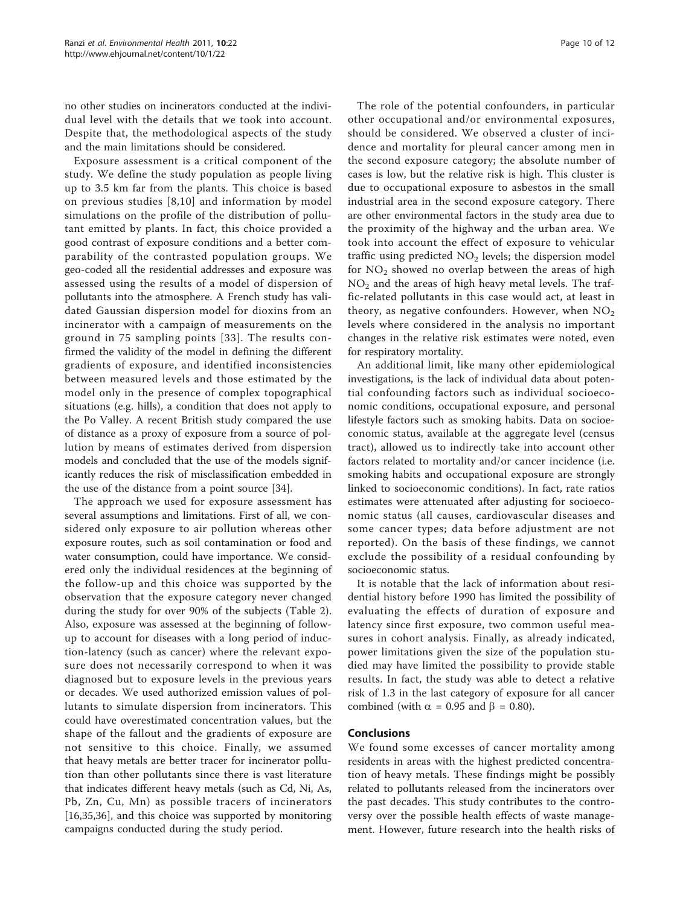no other studies on incinerators conducted at the individual level with the details that we took into account. Despite that, the methodological aspects of the study and the main limitations should be considered.

Exposure assessment is a critical component of the study. We define the study population as people living up to 3.5 km far from the plants. This choice is based on previous studies [[8,10\]](#page-10-0) and information by model simulations on the profile of the distribution of pollutant emitted by plants. In fact, this choice provided a good contrast of exposure conditions and a better comparability of the contrasted population groups. We geo-coded all the residential addresses and exposure was assessed using the results of a model of dispersion of pollutants into the atmosphere. A French study has validated Gaussian dispersion model for dioxins from an incinerator with a campaign of measurements on the ground in 75 sampling points [[33](#page-11-0)]. The results confirmed the validity of the model in defining the different gradients of exposure, and identified inconsistencies between measured levels and those estimated by the model only in the presence of complex topographical situations (e.g. hills), a condition that does not apply to the Po Valley. A recent British study compared the use of distance as a proxy of exposure from a source of pollution by means of estimates derived from dispersion models and concluded that the use of the models significantly reduces the risk of misclassification embedded in the use of the distance from a point source [\[34\]](#page-11-0).

The approach we used for exposure assessment has several assumptions and limitations. First of all, we considered only exposure to air pollution whereas other exposure routes, such as soil contamination or food and water consumption, could have importance. We considered only the individual residences at the beginning of the follow-up and this choice was supported by the observation that the exposure category never changed during the study for over 90% of the subjects (Table [2](#page-4-0)). Also, exposure was assessed at the beginning of followup to account for diseases with a long period of induction-latency (such as cancer) where the relevant exposure does not necessarily correspond to when it was diagnosed but to exposure levels in the previous years or decades. We used authorized emission values of pollutants to simulate dispersion from incinerators. This could have overestimated concentration values, but the shape of the fallout and the gradients of exposure are not sensitive to this choice. Finally, we assumed that heavy metals are better tracer for incinerator pollution than other pollutants since there is vast literature that indicates different heavy metals (such as Cd, Ni, As, Pb, Zn, Cu, Mn) as possible tracers of incinerators [[16,](#page-10-0)[35,36\]](#page-11-0), and this choice was supported by monitoring campaigns conducted during the study period.

The role of the potential confounders, in particular other occupational and/or environmental exposures, should be considered. We observed a cluster of incidence and mortality for pleural cancer among men in the second exposure category; the absolute number of cases is low, but the relative risk is high. This cluster is due to occupational exposure to asbestos in the small industrial area in the second exposure category. There are other environmental factors in the study area due to the proximity of the highway and the urban area. We took into account the effect of exposure to vehicular traffic using predicted  $NO<sub>2</sub>$  levels; the dispersion model for  $NO<sub>2</sub>$  showed no overlap between the areas of high  $NO<sub>2</sub>$  and the areas of high heavy metal levels. The traffic-related pollutants in this case would act, at least in theory, as negative confounders. However, when  $NO<sub>2</sub>$ levels where considered in the analysis no important changes in the relative risk estimates were noted, even for respiratory mortality.

An additional limit, like many other epidemiological investigations, is the lack of individual data about potential confounding factors such as individual socioeconomic conditions, occupational exposure, and personal lifestyle factors such as smoking habits. Data on socioeconomic status, available at the aggregate level (census tract), allowed us to indirectly take into account other factors related to mortality and/or cancer incidence (i.e. smoking habits and occupational exposure are strongly linked to socioeconomic conditions). In fact, rate ratios estimates were attenuated after adjusting for socioeconomic status (all causes, cardiovascular diseases and some cancer types; data before adjustment are not reported). On the basis of these findings, we cannot exclude the possibility of a residual confounding by socioeconomic status.

It is notable that the lack of information about residential history before 1990 has limited the possibility of evaluating the effects of duration of exposure and latency since first exposure, two common useful measures in cohort analysis. Finally, as already indicated, power limitations given the size of the population studied may have limited the possibility to provide stable results. In fact, the study was able to detect a relative risk of 1.3 in the last category of exposure for all cancer combined (with  $\alpha = 0.95$  and  $\beta = 0.80$ ).

## Conclusions

We found some excesses of cancer mortality among residents in areas with the highest predicted concentration of heavy metals. These findings might be possibly related to pollutants released from the incinerators over the past decades. This study contributes to the controversy over the possible health effects of waste management. However, future research into the health risks of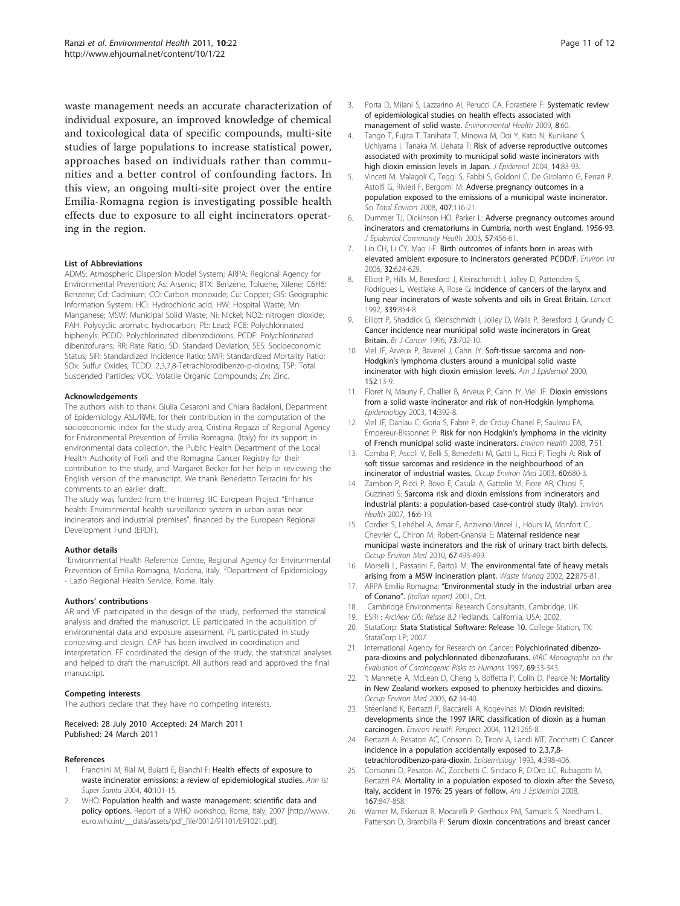<span id="page-10-0"></span>waste management needs an accurate characterization of individual exposure, an improved knowledge of chemical and toxicological data of specific compounds, multi-site studies of large populations to increase statistical power, approaches based on individuals rather than communities and a better control of confounding factors. In this view, an ongoing multi-site project over the entire Emilia-Romagna region is investigating possible health effects due to exposure to all eight incinerators operating in the region.

#### List of Abbreviations

ADMS: Atmospheric Dispersion Model System; ARPA: Regional Agency for Environmental Prevention; As: Arsenic; BTX: Benzene, Toluene, Xilene; C6H6: Benzene; Cd: Cadmium; CO: Carbon monoxide; Cu: Copper; GIS: Geographic Information System; HCl: Hydrochloric acid; HW: Hospital Waste; Mn: Manganese; MSW: Municipal Solid Waste; Ni: Nickel; NO2: nitrogen dioxide; PAH: Polycyclic aromatic hydrocarbon; Pb: Lead; PCB: Polychlorinated biphenyls; PCDD: Polychlorinated dibenzodioxins; PCDF: Polychlorinated dibenzofurans; RR: Rate Ratio; SD: Standard Deviation; SES: Socioeconomic Status; SIR: Standardized Incidence Ratio; SMR: Standardized Mortality Ratio; SOx: Sulfur Oxides; TCDD: 2,3,7,8-Tetrachlorodibenzo-p-dioxins; TSP: Total Suspended Particles; VOC: Volatile Organic Compounds; Zn: Zinc.

#### Acknowledgements

The authors wish to thank Giulia Cesaroni and Chiara Badaloni, Department of Epidemiology ASL/RME, for their contribution in the computation of the socioeconomic index for the study area, Cristina Regazzi of Regional Agency for Environmental Prevention of Emilia Romagna, (Italy) for its support in environmental data collection, the Public Health Department of the Local Health Authority of Forlì and the Romagna Cancer Registry for their contribution to the study, and Margaret Becker for her help in reviewing the English version of the manuscript. We thank Benedetto Terracini for his comments to an earlier draft.

The study was funded from the Interreg IIIC European Project "Enhance health: Environmental health surveillance system in urban areas near incinerators and industrial premises", financed by the European Regional Development Fund (ERDF).

#### Author details

<sup>1</sup> Environmental Health Reference Centre, Regional Agency for Environmental Prevention of Emilia Romagna, Modena, Italy. <sup>2</sup>Department of Epidemiology - Lazio Regional Health Service, Rome, Italy.

#### Authors' contributions

AR and VF participated in the design of the study, performed the statistical analysis and drafted the manuscript. LE participated in the acquisition of environmental data and exposure assessment. PL participated in study conceiving and design. CAP has been involved in coordination and interpretation. FF coordinated the design of the study, the statistical analyses and helped to draft the manuscript. All authors read and approved the final manuscript.

#### Competing interests

The authors declare that they have no competing interests.

Received: 28 July 2010 Accepted: 24 March 2011 Published: 24 March 2011

#### References

- Franchini M, Rial M, Buiatti E, Bianchi F: [Health effects of exposure to](http://www.ncbi.nlm.nih.gov/pubmed/15269458?dopt=Abstract) [waste incinerator emissions: a review of epidemiological studies.](http://www.ncbi.nlm.nih.gov/pubmed/15269458?dopt=Abstract) Ann Ist Super Sanita 2004, 40:101-15.
- 2. WHO: Population health and waste management: scientific data and policy options. Report of a WHO workshop, Rome, Italy; 2007 [[http://www.](http://www.euro.who.int/__data/assets/pdf_file/0012/91101/E91021.pdf) [euro.who.int/\\_\\_data/assets/pdf\\_file/0012/91101/E91021.pdf](http://www.euro.who.int/__data/assets/pdf_file/0012/91101/E91021.pdf)].
- 3. Porta D, Milani S, Lazzarino AI, Perucci CA, Forastiere F: [Systematic review](http://www.ncbi.nlm.nih.gov/pubmed/20030820?dopt=Abstract) [of epidemiological studies on health effects associated with](http://www.ncbi.nlm.nih.gov/pubmed/20030820?dopt=Abstract) [management of solid waste.](http://www.ncbi.nlm.nih.gov/pubmed/20030820?dopt=Abstract) Environmental Health 2009, 8:60.
- 4. Tango T, Fujita T, Tanihata T, Minowa M, Doi Y, Kato N, Kunikane S, Uchiyama I, Tanaka M, Uehata T: [Risk of adverse reproductive outcomes](http://www.ncbi.nlm.nih.gov/pubmed/15242064?dopt=Abstract) [associated with proximity to municipal solid waste incinerators with](http://www.ncbi.nlm.nih.gov/pubmed/15242064?dopt=Abstract) [high dioxin emission levels in Japan.](http://www.ncbi.nlm.nih.gov/pubmed/15242064?dopt=Abstract) J Epidemiol 2004, 14:83-93.
- 5. Vinceti M, Malagoli C, Teggi S, Fabbi S, Goldoni C, De Girolamo G, Ferrari P, Astolfi G, Rivieri F, Bergomi M: [Adverse pregnancy outcomes in a](http://www.ncbi.nlm.nih.gov/pubmed/18824255?dopt=Abstract) [population exposed to the emissions of a municipal waste incinerator.](http://www.ncbi.nlm.nih.gov/pubmed/18824255?dopt=Abstract) Sci Total Environ 2008, 407:116-21.
- 6. Dummer TJ, Dickinson HO, Parker L: [Adverse pregnancy outcomes around](http://www.ncbi.nlm.nih.gov/pubmed/12775795?dopt=Abstract) [incinerators and crematoriums in Cumbria, north west England, 1956-93.](http://www.ncbi.nlm.nih.gov/pubmed/12775795?dopt=Abstract) J Epidemiol Community Health 2003, 57:456-61.
- 7. Lin CH, Li CY, Mao I-F: [Birth outcomes of infants born in areas with](http://www.ncbi.nlm.nih.gov/pubmed/16546257?dopt=Abstract) [elevated ambient exposure to incinerators generated PCDD/F.](http://www.ncbi.nlm.nih.gov/pubmed/16546257?dopt=Abstract) Environ Int 2006, 32:624-629.
- 8. Elliott P, Hills M, Beresford J, Kleinschmidt I, Jolley D, Pattenden S, Rodrigues L, Westlake A, Rose G: [Incidence of cancers of the larynx and](http://www.ncbi.nlm.nih.gov/pubmed/1347867?dopt=Abstract) [lung near incinerators of waste solvents and oils in Great Britain.](http://www.ncbi.nlm.nih.gov/pubmed/1347867?dopt=Abstract) Lancet 1992, 339:854-8.
- 9. Elliott P, Shaddick G, Kleinschmidt I, Jolley D, Walls P, Beresford J, Grundy C: [Cancer incidence near municipal solid waste incinerators in Great](http://www.ncbi.nlm.nih.gov/pubmed/8605111?dopt=Abstract) [Britain.](http://www.ncbi.nlm.nih.gov/pubmed/8605111?dopt=Abstract) Br J Cancer 1996, 73:702-10.
- Viel JF, Arveux P, Baverel J, Cahn JY: [Soft-tissue sarcoma and non-](http://www.ncbi.nlm.nih.gov/pubmed/10901325?dopt=Abstract)Hodgkin'[s lymphoma clusters around a municipal solid waste](http://www.ncbi.nlm.nih.gov/pubmed/10901325?dopt=Abstract) [incinerator with high dioxin emission levels.](http://www.ncbi.nlm.nih.gov/pubmed/10901325?dopt=Abstract) Am J Epidemiol 2000, 152:13-9.
- 11. Floret N, Mauny F, Challier B, Arveux P, Cahn JY, Viel JF: [Dioxin emissions](http://www.ncbi.nlm.nih.gov/pubmed/12843761?dopt=Abstract) [from a solid waste incinerator and risk of non-Hodgkin lymphoma.](http://www.ncbi.nlm.nih.gov/pubmed/12843761?dopt=Abstract) Epidemiology 2003, 14:392-8.
- 12. Viel JF, Daniau C, Goria S, Fabre P, de Crouy-Chanel P, Sauleau EA, Empereur-Bissonnet P: Risk for non Hodgkin'[s lymphoma in the vicinity](http://www.ncbi.nlm.nih.gov/pubmed/18959776?dopt=Abstract) [of French municipal solid waste incinerators.](http://www.ncbi.nlm.nih.gov/pubmed/18959776?dopt=Abstract) Environ Health 2008, 7:51.
- 13. Comba P, Ascoli V, Belli S, Benedetti M, Gatti L, Ricci P, Tieghi A: [Risk of](http://www.ncbi.nlm.nih.gov/pubmed/12937191?dopt=Abstract) [soft tissue sarcomas and residence in the neighbourhood of an](http://www.ncbi.nlm.nih.gov/pubmed/12937191?dopt=Abstract) [incinerator of industrial wastes.](http://www.ncbi.nlm.nih.gov/pubmed/12937191?dopt=Abstract) Occup Environ Med 2003, 60:680-3.
- 14. Zambon P, Ricci P, Bovo E, Casula A, Gattolin M, Fiore AR, Chiosi F, Guzzinati S: Sarcoma risk and dioxin emissions from incinerators and industrial plants: a population-based case-control study (Italy). Environ Health 2007, 16:6-19.
- 15. Cordier S, Lehébel A, Amar E, Anzivino-Viricel L, Hours M, Monfort C, Chevrier C, Chiron M, Robert-Gnansia E: [Maternal residence near](http://www.ncbi.nlm.nih.gov/pubmed/20581259?dopt=Abstract) [municipal waste incinerators and the risk of urinary tract birth defects.](http://www.ncbi.nlm.nih.gov/pubmed/20581259?dopt=Abstract) Occup Environ Med 2010, 67:493-499.
- 16. Morselli L, Passarini F, Bartoli M: [The environmental fate of heavy metals](http://www.ncbi.nlm.nih.gov/pubmed/12423048?dopt=Abstract) [arising from a MSW incineration plant.](http://www.ncbi.nlm.nih.gov/pubmed/12423048?dopt=Abstract) Waste Manag 2002, 22:875-81.
- 17. ARPA Emilia Romagna: "Environmental study in the industrial urban area of Coriano". (Italian report) 2001, Ott.
- 18. Cambridge Environmental Research Consultants, Cambridge, UK.
- 19. ESRI : ArcView GIS: Relase 8.2 Redlands, California, USA; 2002.
- 20. StataCorp: Stata Statistical Software: Release 10. College Station, TX: StataCorp LP; 2007.
- 21. International Agency for Research on Cancer: [Polychlorinated dibenzo](http://www.ncbi.nlm.nih.gov/pubmed/9336729?dopt=Abstract)[para-dioxins and polychlorinated dibenzofurans.](http://www.ncbi.nlm.nih.gov/pubmed/9336729?dopt=Abstract) IARC Monographs on the Evaluation of Carcinogenic Risks to Humans 1997, 69:33-343.
- 22. 't Mannetje A, McLean D, Cheng S, Boffetta P, Colin D, Pearce N: [Mortality](http://www.ncbi.nlm.nih.gov/pubmed/15613606?dopt=Abstract) [in New Zealand workers exposed to phenoxy herbicides and dioxins.](http://www.ncbi.nlm.nih.gov/pubmed/15613606?dopt=Abstract) Occup Environ Med 2005, 62:34-40.
- 23. Steenland K, Bertazzi P, Baccarelli A, Kogevinas M: [Dioxin revisited:](http://www.ncbi.nlm.nih.gov/pubmed/15345337?dopt=Abstract) [developments since the 1997 IARC classification of dioxin as a human](http://www.ncbi.nlm.nih.gov/pubmed/15345337?dopt=Abstract) [carcinogen.](http://www.ncbi.nlm.nih.gov/pubmed/15345337?dopt=Abstract) Environ Health Perspect 2004, 112:1265-8.
- 24. Bertazzi A, Pesatori AC, Consonni D, Tironi A, Landi MT, Zocchetti C: [Cancer](http://www.ncbi.nlm.nih.gov/pubmed/8399687?dopt=Abstract) [incidence in a population accidentally exposed to 2,3,7,8](http://www.ncbi.nlm.nih.gov/pubmed/8399687?dopt=Abstract) [tetrachlorodibenzo-para-dioxin.](http://www.ncbi.nlm.nih.gov/pubmed/8399687?dopt=Abstract) Epidemiology 1993, 4:398-406.
- 25. Consonni D, Pesatori AC, Zocchetti C, Sindaco R, D'Oro LC, Rubagotti M, Bertazzi PA: [Mortality in a population exposed to dioxin after the Seveso,](http://www.ncbi.nlm.nih.gov/pubmed/18192277?dopt=Abstract) [Italy, accident in 1976: 25 years of follow.](http://www.ncbi.nlm.nih.gov/pubmed/18192277?dopt=Abstract) Am J Epidemiol 2008, 167:847-858.
- 26. Warner M, Eskenazi B, Mocarelli P, Gerthoux PM, Samuels S, Needham L, Patterson D, Brambilla P: [Serum dioxin concentrations and breast cancer](http://www.ncbi.nlm.nih.gov/pubmed/12117637?dopt=Abstract)